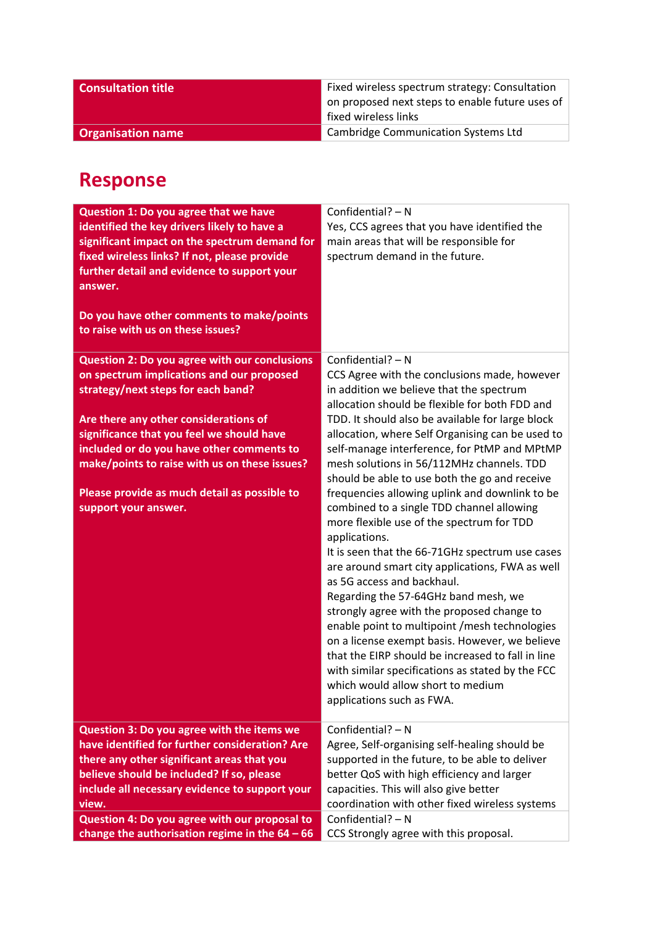| <b>Consultation title</b> | Fixed wireless spectrum strategy: Consultation<br>on proposed next steps to enable future uses of<br>fixed wireless links |
|---------------------------|---------------------------------------------------------------------------------------------------------------------------|
| <b>Organisation name</b>  | <b>Cambridge Communication Systems Ltd</b>                                                                                |

## **Response**

| Question 1: Do you agree that we have<br>identified the key drivers likely to have a<br>significant impact on the spectrum demand for<br>fixed wireless links? If not, please provide<br>further detail and evidence to support your<br>answer.<br>Do you have other comments to make/points<br>to raise with us on these issues? | Confidential? - N<br>Yes, CCS agrees that you have identified the<br>main areas that will be responsible for<br>spectrum demand in the future. |
|-----------------------------------------------------------------------------------------------------------------------------------------------------------------------------------------------------------------------------------------------------------------------------------------------------------------------------------|------------------------------------------------------------------------------------------------------------------------------------------------|
| <b>Question 2: Do you agree with our conclusions</b>                                                                                                                                                                                                                                                                              | Confidential? $- N$                                                                                                                            |
| on spectrum implications and our proposed                                                                                                                                                                                                                                                                                         | CCS Agree with the conclusions made, however                                                                                                   |
| strategy/next steps for each band?                                                                                                                                                                                                                                                                                                | in addition we believe that the spectrum                                                                                                       |
|                                                                                                                                                                                                                                                                                                                                   | allocation should be flexible for both FDD and                                                                                                 |
| Are there any other considerations of                                                                                                                                                                                                                                                                                             | TDD. It should also be available for large block                                                                                               |
| significance that you feel we should have                                                                                                                                                                                                                                                                                         | allocation, where Self Organising can be used to                                                                                               |
| included or do you have other comments to                                                                                                                                                                                                                                                                                         | self-manage interference, for PtMP and MPtMP                                                                                                   |
| make/points to raise with us on these issues?                                                                                                                                                                                                                                                                                     | mesh solutions in 56/112MHz channels. TDD                                                                                                      |
|                                                                                                                                                                                                                                                                                                                                   | should be able to use both the go and receive                                                                                                  |
| Please provide as much detail as possible to                                                                                                                                                                                                                                                                                      | frequencies allowing uplink and downlink to be                                                                                                 |
| support your answer.                                                                                                                                                                                                                                                                                                              | combined to a single TDD channel allowing                                                                                                      |
|                                                                                                                                                                                                                                                                                                                                   | more flexible use of the spectrum for TDD                                                                                                      |
|                                                                                                                                                                                                                                                                                                                                   | applications.                                                                                                                                  |
|                                                                                                                                                                                                                                                                                                                                   | It is seen that the 66-71GHz spectrum use cases                                                                                                |
|                                                                                                                                                                                                                                                                                                                                   | are around smart city applications, FWA as well                                                                                                |
|                                                                                                                                                                                                                                                                                                                                   | as 5G access and backhaul.                                                                                                                     |
|                                                                                                                                                                                                                                                                                                                                   | Regarding the 57-64GHz band mesh, we                                                                                                           |
|                                                                                                                                                                                                                                                                                                                                   | strongly agree with the proposed change to                                                                                                     |
|                                                                                                                                                                                                                                                                                                                                   | enable point to multipoint / mesh technologies                                                                                                 |
|                                                                                                                                                                                                                                                                                                                                   | on a license exempt basis. However, we believe<br>that the EIRP should be increased to fall in line                                            |
|                                                                                                                                                                                                                                                                                                                                   | with similar specifications as stated by the FCC                                                                                               |
|                                                                                                                                                                                                                                                                                                                                   | which would allow short to medium                                                                                                              |
|                                                                                                                                                                                                                                                                                                                                   | applications such as FWA.                                                                                                                      |
|                                                                                                                                                                                                                                                                                                                                   |                                                                                                                                                |
| Question 3: Do you agree with the items we                                                                                                                                                                                                                                                                                        | Confidential? - N                                                                                                                              |
| have identified for further consideration? Are                                                                                                                                                                                                                                                                                    | Agree, Self-organising self-healing should be                                                                                                  |
| there any other significant areas that you                                                                                                                                                                                                                                                                                        | supported in the future, to be able to deliver                                                                                                 |
| believe should be included? If so, please                                                                                                                                                                                                                                                                                         | better QoS with high efficiency and larger                                                                                                     |
| include all necessary evidence to support your                                                                                                                                                                                                                                                                                    | capacities. This will also give better                                                                                                         |
| view.                                                                                                                                                                                                                                                                                                                             | coordination with other fixed wireless systems                                                                                                 |
| Question 4: Do you agree with our proposal to                                                                                                                                                                                                                                                                                     | Confidential? - N                                                                                                                              |
| change the authorisation regime in the $64 - 66$                                                                                                                                                                                                                                                                                  | CCS Strongly agree with this proposal.                                                                                                         |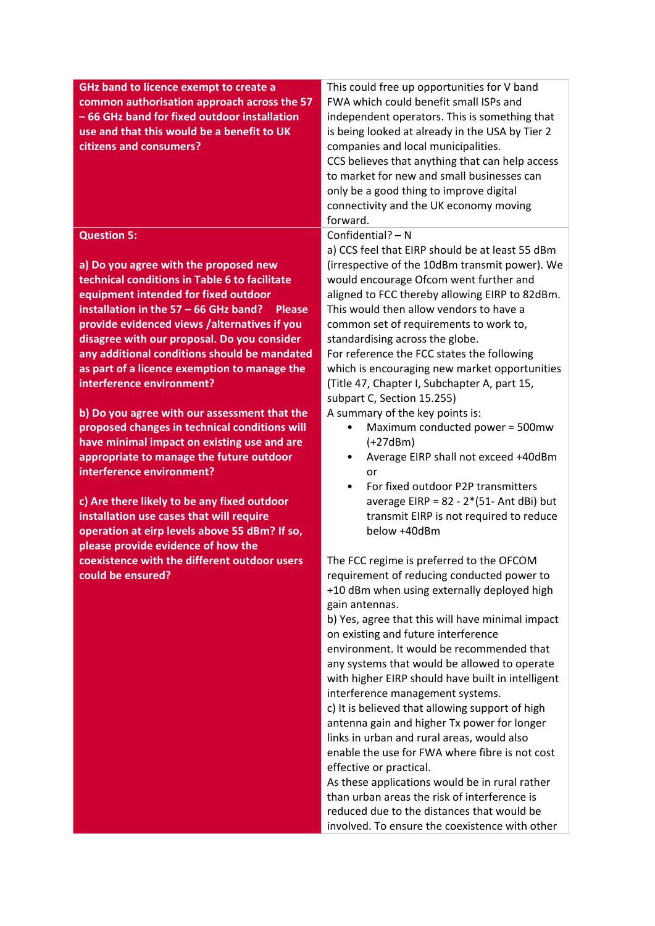| GHz band to licence exempt to create a<br>common authorisation approach across the 57<br>- 66 GHz band for fixed outdoor installation | This could free up opportunities for V band<br>FWA which could benefit small ISPs and<br>independent operators. This is something that |
|---------------------------------------------------------------------------------------------------------------------------------------|----------------------------------------------------------------------------------------------------------------------------------------|
| use and that this would be a benefit to UK                                                                                            |                                                                                                                                        |
|                                                                                                                                       | is being looked at already in the USA by Tier 2                                                                                        |
| citizens and consumers?                                                                                                               | companies and local municipalities.                                                                                                    |
|                                                                                                                                       | CCS believes that anything that can help access                                                                                        |
|                                                                                                                                       | to market for new and small businesses can                                                                                             |
|                                                                                                                                       | only be a good thing to improve digital                                                                                                |
|                                                                                                                                       | connectivity and the UK economy moving                                                                                                 |
|                                                                                                                                       | forward.                                                                                                                               |
| <b>Question 5:</b>                                                                                                                    | Confidential? - N                                                                                                                      |
|                                                                                                                                       | a) CCS feel that EIRP should be at least 55 dBm                                                                                        |
| a) Do you agree with the proposed new                                                                                                 | (irrespective of the 10dBm transmit power). We                                                                                         |
| technical conditions in Table 6 to facilitate                                                                                         | would encourage Ofcom went further and                                                                                                 |
| equipment intended for fixed outdoor                                                                                                  | aligned to FCC thereby allowing EIRP to 82dBm.                                                                                         |
| installation in the $57 - 66$ GHz band?<br><b>Please</b>                                                                              | This would then allow vendors to have a                                                                                                |
| provide evidenced views /alternatives if you                                                                                          | common set of requirements to work to,                                                                                                 |
| disagree with our proposal. Do you consider                                                                                           | standardising across the globe.                                                                                                        |
| any additional conditions should be mandated                                                                                          | For reference the FCC states the following                                                                                             |
| as part of a licence exemption to manage the                                                                                          | which is encouraging new market opportunities                                                                                          |
| interference environment?                                                                                                             | (Title 47, Chapter I, Subchapter A, part 15,                                                                                           |
|                                                                                                                                       | subpart C, Section 15.255)                                                                                                             |
| b) Do you agree with our assessment that the                                                                                          | A summary of the key points is:                                                                                                        |
| proposed changes in technical conditions will                                                                                         | Maximum conducted power = 500mw                                                                                                        |
| have minimal impact on existing use and are                                                                                           | $(+27dBm)$                                                                                                                             |
| appropriate to manage the future outdoor                                                                                              | Average EIRP shall not exceed +40dBm                                                                                                   |
| interference environment?                                                                                                             | or                                                                                                                                     |
|                                                                                                                                       | For fixed outdoor P2P transmitters<br>$\bullet$                                                                                        |
| c) Are there likely to be any fixed outdoor                                                                                           | average EIRP = $82 - 2*(51 - Ant dBi)$ but                                                                                             |
| installation use cases that will require                                                                                              | transmit EIRP is not required to reduce<br>below +40dBm                                                                                |
| operation at eirp levels above 55 dBm? If so,<br>please provide evidence of how the                                                   |                                                                                                                                        |
| coexistence with the different outdoor users                                                                                          | The FCC regime is preferred to the OFCOM                                                                                               |
| could be ensured?                                                                                                                     |                                                                                                                                        |
|                                                                                                                                       | requirement of reducing conducted power to<br>+10 dBm when using externally deployed high                                              |
|                                                                                                                                       | gain antennas.                                                                                                                         |
|                                                                                                                                       | b) Yes, agree that this will have minimal impact                                                                                       |
|                                                                                                                                       | on existing and future interference                                                                                                    |
|                                                                                                                                       | environment. It would be recommended that                                                                                              |
|                                                                                                                                       | any systems that would be allowed to operate                                                                                           |
|                                                                                                                                       | with higher EIRP should have built in intelligent                                                                                      |
|                                                                                                                                       | interference management systems.                                                                                                       |
|                                                                                                                                       | c) It is believed that allowing support of high                                                                                        |
|                                                                                                                                       | antenna gain and higher Tx power for longer                                                                                            |
|                                                                                                                                       | links in urban and rural areas, would also                                                                                             |
|                                                                                                                                       | enable the use for FWA where fibre is not cost                                                                                         |
|                                                                                                                                       | effective or practical.                                                                                                                |
|                                                                                                                                       | As these applications would be in rural rather                                                                                         |
|                                                                                                                                       | than urban areas the risk of interference is                                                                                           |
|                                                                                                                                       | reduced due to the distances that would be                                                                                             |
|                                                                                                                                       | involved. To ensure the coexistence with other                                                                                         |
|                                                                                                                                       |                                                                                                                                        |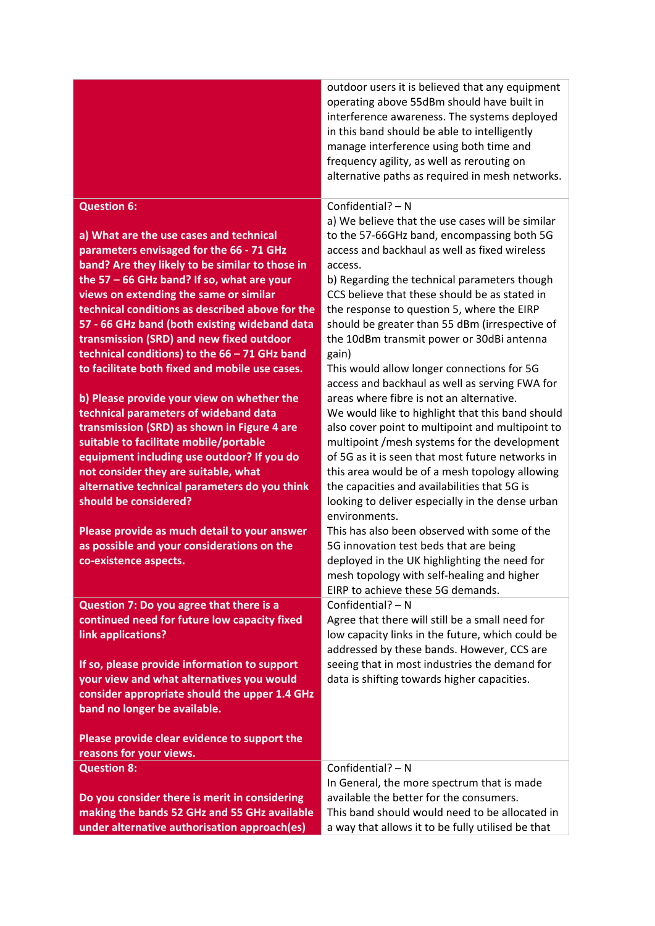|                                                                                            | outdoor users it is believed that any equipment<br>operating above 55dBm should have built in<br>interference awareness. The systems deployed<br>in this band should be able to intelligently<br>manage interference using both time and<br>frequency agility, as well as rerouting on<br>alternative paths as required in mesh networks. |
|--------------------------------------------------------------------------------------------|-------------------------------------------------------------------------------------------------------------------------------------------------------------------------------------------------------------------------------------------------------------------------------------------------------------------------------------------|
| <b>Question 6:</b>                                                                         | Confidential? - N                                                                                                                                                                                                                                                                                                                         |
|                                                                                            | a) We believe that the use cases will be similar                                                                                                                                                                                                                                                                                          |
| a) What are the use cases and technical                                                    | to the 57-66GHz band, encompassing both 5G                                                                                                                                                                                                                                                                                                |
| parameters envisaged for the 66 - 71 GHz                                                   | access and backhaul as well as fixed wireless                                                                                                                                                                                                                                                                                             |
| band? Are they likely to be similar to those in                                            | access.                                                                                                                                                                                                                                                                                                                                   |
| the 57 - 66 GHz band? If so, what are your                                                 | b) Regarding the technical parameters though                                                                                                                                                                                                                                                                                              |
| views on extending the same or similar<br>technical conditions as described above for the  | CCS believe that these should be as stated in<br>the response to question 5, where the EIRP                                                                                                                                                                                                                                               |
| 57 - 66 GHz band (both existing wideband data                                              | should be greater than 55 dBm (irrespective of                                                                                                                                                                                                                                                                                            |
| transmission (SRD) and new fixed outdoor                                                   | the 10dBm transmit power or 30dBi antenna                                                                                                                                                                                                                                                                                                 |
| technical conditions) to the $66 - 71$ GHz band                                            | gain)                                                                                                                                                                                                                                                                                                                                     |
| to facilitate both fixed and mobile use cases.                                             | This would allow longer connections for 5G                                                                                                                                                                                                                                                                                                |
|                                                                                            | access and backhaul as well as serving FWA for                                                                                                                                                                                                                                                                                            |
| b) Please provide your view on whether the                                                 | areas where fibre is not an alternative.                                                                                                                                                                                                                                                                                                  |
| technical parameters of wideband data                                                      | We would like to highlight that this band should                                                                                                                                                                                                                                                                                          |
| transmission (SRD) as shown in Figure 4 are                                                | also cover point to multipoint and multipoint to                                                                                                                                                                                                                                                                                          |
| suitable to facilitate mobile/portable                                                     | multipoint /mesh systems for the development                                                                                                                                                                                                                                                                                              |
| equipment including use outdoor? If you do                                                 | of 5G as it is seen that most future networks in                                                                                                                                                                                                                                                                                          |
| not consider they are suitable, what                                                       | this area would be of a mesh topology allowing                                                                                                                                                                                                                                                                                            |
| alternative technical parameters do you think                                              | the capacities and availabilities that 5G is                                                                                                                                                                                                                                                                                              |
| should be considered?                                                                      | looking to deliver especially in the dense urban<br>environments.                                                                                                                                                                                                                                                                         |
| Please provide as much detail to your answer                                               | This has also been observed with some of the                                                                                                                                                                                                                                                                                              |
| as possible and your considerations on the                                                 | 5G innovation test beds that are being                                                                                                                                                                                                                                                                                                    |
| co-existence aspects.                                                                      | deployed in the UK highlighting the need for                                                                                                                                                                                                                                                                                              |
|                                                                                            | mesh topology with self-healing and higher                                                                                                                                                                                                                                                                                                |
|                                                                                            | EIRP to achieve these 5G demands.                                                                                                                                                                                                                                                                                                         |
| Question 7: Do you agree that there is a                                                   | Confidential? - N                                                                                                                                                                                                                                                                                                                         |
| continued need for future low capacity fixed                                               | Agree that there will still be a small need for                                                                                                                                                                                                                                                                                           |
| link applications?                                                                         | low capacity links in the future, which could be                                                                                                                                                                                                                                                                                          |
|                                                                                            | addressed by these bands. However, CCS are                                                                                                                                                                                                                                                                                                |
| If so, please provide information to support                                               | seeing that in most industries the demand for                                                                                                                                                                                                                                                                                             |
| your view and what alternatives you would<br>consider appropriate should the upper 1.4 GHz | data is shifting towards higher capacities.                                                                                                                                                                                                                                                                                               |
| band no longer be available.                                                               |                                                                                                                                                                                                                                                                                                                                           |
|                                                                                            |                                                                                                                                                                                                                                                                                                                                           |
| Please provide clear evidence to support the                                               |                                                                                                                                                                                                                                                                                                                                           |
| reasons for your views.                                                                    |                                                                                                                                                                                                                                                                                                                                           |
| <b>Question 8:</b>                                                                         | Confidential? - N                                                                                                                                                                                                                                                                                                                         |
|                                                                                            | In General, the more spectrum that is made                                                                                                                                                                                                                                                                                                |
| Do you consider there is merit in considering                                              | available the better for the consumers.                                                                                                                                                                                                                                                                                                   |
| making the bands 52 GHz and 55 GHz available                                               | This band should would need to be allocated in                                                                                                                                                                                                                                                                                            |
| under alternative authorisation approach(es)                                               | a way that allows it to be fully utilised be that                                                                                                                                                                                                                                                                                         |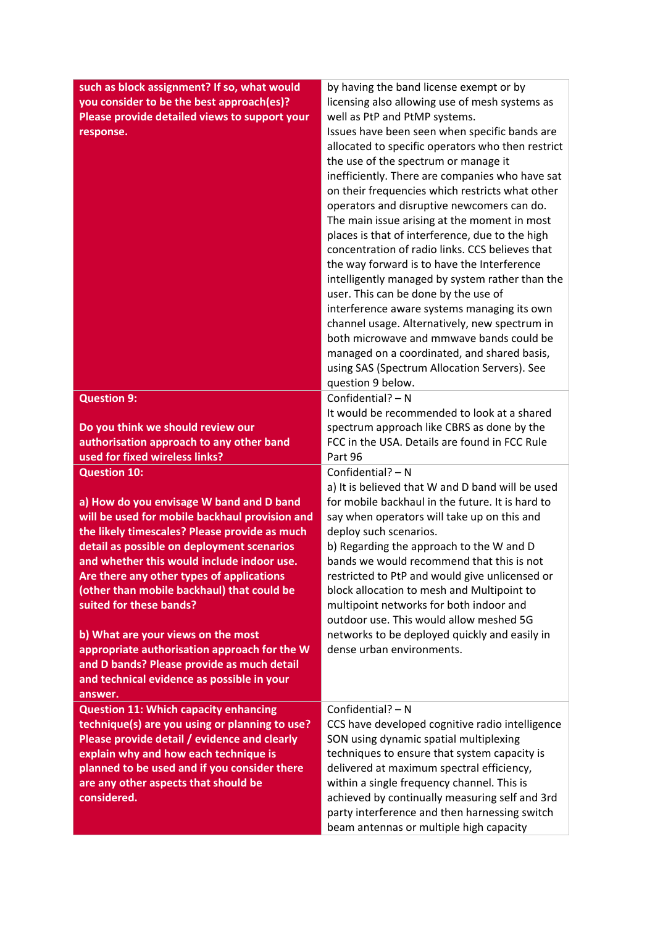| such as block assignment? If so, what would<br>you consider to be the best approach(es)?<br>Please provide detailed views to support your<br>response.                                                                                                                                                                                                                                                                                                                                                                                                                            | by having the band license exempt or by<br>licensing also allowing use of mesh systems as<br>well as PtP and PtMP systems.<br>Issues have been seen when specific bands are<br>allocated to specific operators who then restrict<br>the use of the spectrum or manage it<br>inefficiently. There are companies who have sat<br>on their frequencies which restricts what other<br>operators and disruptive newcomers can do.<br>The main issue arising at the moment in most<br>places is that of interference, due to the high<br>concentration of radio links. CCS believes that<br>the way forward is to have the Interference<br>intelligently managed by system rather than the<br>user. This can be done by the use of<br>interference aware systems managing its own<br>channel usage. Alternatively, new spectrum in<br>both microwave and mmwave bands could be<br>managed on a coordinated, and shared basis,<br>using SAS (Spectrum Allocation Servers). See<br>question 9 below. |
|-----------------------------------------------------------------------------------------------------------------------------------------------------------------------------------------------------------------------------------------------------------------------------------------------------------------------------------------------------------------------------------------------------------------------------------------------------------------------------------------------------------------------------------------------------------------------------------|----------------------------------------------------------------------------------------------------------------------------------------------------------------------------------------------------------------------------------------------------------------------------------------------------------------------------------------------------------------------------------------------------------------------------------------------------------------------------------------------------------------------------------------------------------------------------------------------------------------------------------------------------------------------------------------------------------------------------------------------------------------------------------------------------------------------------------------------------------------------------------------------------------------------------------------------------------------------------------------------|
| <b>Question 9:</b><br>Do you think we should review our<br>authorisation approach to any other band<br>used for fixed wireless links?                                                                                                                                                                                                                                                                                                                                                                                                                                             | Confidential? - N<br>It would be recommended to look at a shared<br>spectrum approach like CBRS as done by the<br>FCC in the USA. Details are found in FCC Rule<br>Part 96                                                                                                                                                                                                                                                                                                                                                                                                                                                                                                                                                                                                                                                                                                                                                                                                                   |
| <b>Question 10:</b><br>a) How do you envisage W band and D band<br>will be used for mobile backhaul provision and<br>the likely timescales? Please provide as much<br>detail as possible on deployment scenarios<br>and whether this would include indoor use.<br>Are there any other types of applications<br>(other than mobile backhaul) that could be<br>suited for these bands?<br>b) What are your views on the most<br>appropriate authorisation approach for the W<br>and D bands? Please provide as much detail<br>and technical evidence as possible in your<br>answer. | Confidential? - N<br>a) It is believed that W and D band will be used<br>for mobile backhaul in the future. It is hard to<br>say when operators will take up on this and<br>deploy such scenarios.<br>b) Regarding the approach to the W and D<br>bands we would recommend that this is not<br>restricted to PtP and would give unlicensed or<br>block allocation to mesh and Multipoint to<br>multipoint networks for both indoor and<br>outdoor use. This would allow meshed 5G<br>networks to be deployed quickly and easily in<br>dense urban environments.                                                                                                                                                                                                                                                                                                                                                                                                                              |
| <b>Question 11: Which capacity enhancing</b><br>technique(s) are you using or planning to use?<br>Please provide detail / evidence and clearly<br>explain why and how each technique is<br>planned to be used and if you consider there<br>are any other aspects that should be<br>considered.                                                                                                                                                                                                                                                                                    | Confidential? $- N$<br>CCS have developed cognitive radio intelligence<br>SON using dynamic spatial multiplexing<br>techniques to ensure that system capacity is<br>delivered at maximum spectral efficiency,<br>within a single frequency channel. This is<br>achieved by continually measuring self and 3rd<br>party interference and then harnessing switch<br>beam antennas or multiple high capacity                                                                                                                                                                                                                                                                                                                                                                                                                                                                                                                                                                                    |